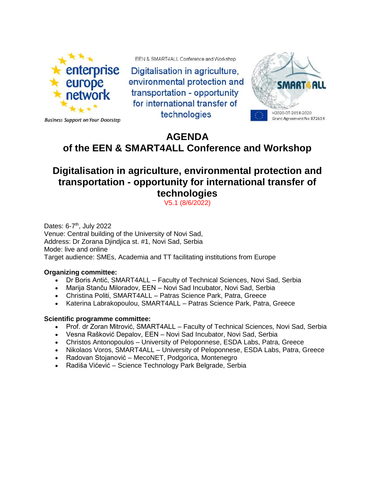

EEN & SMART4ALL Conference and Workshop

Digitalisation in agriculture. environmental protection and transportation - opportunity for international transfer of technologies



**Business Support on Your Doorstep** 

## **AGENDA of the EEN & SMART4ALL Conference and Workshop**

## **Digitalisation in agriculture, environmental protection and transportation - opportunity for international transfer of technologies**

V5.1 (8/6/2022)

Dates: 6-7<sup>th</sup>, July 2022 Venue: Central building of the University of Novi Sad, Address: Dr Zorana Djindjica st. #1, Novi Sad, Serbia Mode: live and online Target audience: SMEs, Academia and TT facilitating institutions from Europe

## **Organizing committee:**

- Dr Boris Antić, SMART4ALL Faculty of Technical Sciences, Novi Sad, Serbia
- Marija Stanču Miloradov, EEN Novi Sad Incubator, Novi Sad, Serbia
- Christina Politi, SMART4ALL Patras Science Park, Patra, Greece
- Katerina Labrakopoulou, SMART4ALL Patras Science Park, Patra, Greece

## **Scientific programme committee:**

- Prof. dr Zoran Mitrović, SMART4ALL Faculty of Technical Sciences, Novi Sad, Serbia
- Vesna Rašković Depalov, EEN Novi Sad Incubator, Novi Sad, Serbia
- Christos Antonopoulos University of Peloponnese, ESDA Labs, Patra, Greece
- Nikolaos Voros, SMART4ALL University of Peloponnese, ESDA Labs, Patra, Greece
- Radovan Stojanović MecoNET, Podgorica, Montenegro
- Radiša Vićević Science Technology Park Belgrade, Serbia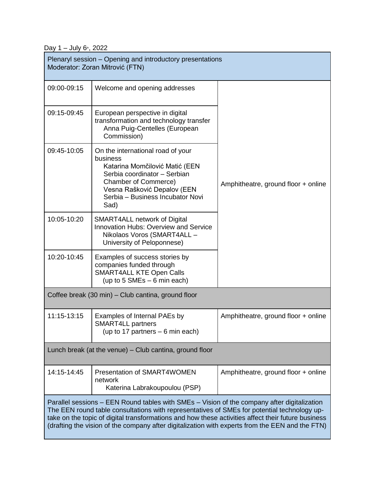Day  $1 -$  July  $6$ <sup>th</sup>, 2022

| Plenaryl session – Opening and introductory presentations<br>Moderator: Zoran Mitrović (FTN)                                                                                                                                                                                                                                                                                                        |                                                                                                                                                                                                                           |                                     |
|-----------------------------------------------------------------------------------------------------------------------------------------------------------------------------------------------------------------------------------------------------------------------------------------------------------------------------------------------------------------------------------------------------|---------------------------------------------------------------------------------------------------------------------------------------------------------------------------------------------------------------------------|-------------------------------------|
| 09:00-09:15                                                                                                                                                                                                                                                                                                                                                                                         | Welcome and opening addresses                                                                                                                                                                                             |                                     |
| 09:15-09:45                                                                                                                                                                                                                                                                                                                                                                                         | European perspective in digital<br>transformation and technology transfer<br>Anna Puig-Centelles (European<br>Commission)                                                                                                 |                                     |
| 09:45-10:05                                                                                                                                                                                                                                                                                                                                                                                         | On the international road of your<br>business<br>Katarina Momčilović Matić (EEN<br>Serbia coordinator - Serbian<br><b>Chamber of Commerce)</b><br>Vesna Rašković Depalov (EEN<br>Serbia - Business Incubator Novi<br>Sad) | Amphitheatre, ground floor + online |
| 10:05-10:20                                                                                                                                                                                                                                                                                                                                                                                         | <b>SMART4ALL network of Digital</b><br><b>Innovation Hubs: Overview and Service</b><br>Nikolaos Voros (SMART4ALL -<br>University of Peloponnese)                                                                          |                                     |
| 10:20-10:45                                                                                                                                                                                                                                                                                                                                                                                         | Examples of success stories by<br>companies funded through<br><b>SMART4ALL KTE Open Calls</b><br>(up to $5$ SMEs $-6$ min each)                                                                                           |                                     |
| Coffee break (30 min) – Club cantina, ground floor                                                                                                                                                                                                                                                                                                                                                  |                                                                                                                                                                                                                           |                                     |
| 11:15-13:15                                                                                                                                                                                                                                                                                                                                                                                         | Examples of Internal PAEs by<br><b>SMART4LL partners</b><br>(up to 17 partners $-6$ min each)                                                                                                                             | Amphitheatre, ground floor + online |
| Lunch break (at the venue) – Club cantina, ground floor                                                                                                                                                                                                                                                                                                                                             |                                                                                                                                                                                                                           |                                     |
| 14:15-14:45                                                                                                                                                                                                                                                                                                                                                                                         | Presentation of SMART4WOMEN<br>network<br>Katerina Labrakoupoulou (PSP)                                                                                                                                                   | Amphitheatre, ground floor + online |
| Parallel sessions – EEN Round tables with SMEs – Vision of the company after digitalization<br>The EEN round table consultations with representatives of SMEs for potential technology up-<br>take on the topic of digital transformations and how these activities affect their future business<br>(drafting the vision of the company after digitalization with experts from the EEN and the FTN) |                                                                                                                                                                                                                           |                                     |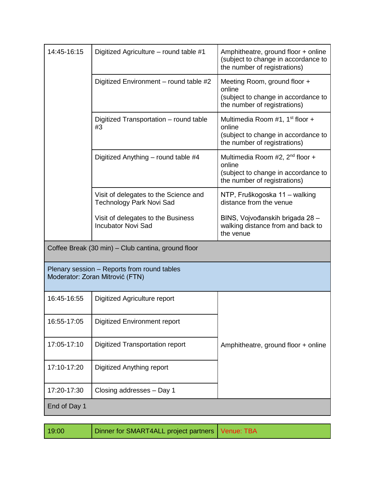| 14:45-16:15                                                                    | Digitized Agriculture – round table #1                                   | Amphitheatre, ground floor + online<br>(subject to change in accordance to<br>the number of registrations)                   |
|--------------------------------------------------------------------------------|--------------------------------------------------------------------------|------------------------------------------------------------------------------------------------------------------------------|
|                                                                                | Digitized Environment - round table #2                                   | Meeting Room, ground floor +<br>online<br>(subject to change in accordance to<br>the number of registrations)                |
|                                                                                | Digitized Transportation - round table<br>#3                             | Multimedia Room #1, 1 <sup>st</sup> floor +<br>online<br>(subject to change in accordance to<br>the number of registrations) |
|                                                                                | Digitized Anything – round table #4                                      | Multimedia Room #2, $2nd$ floor +<br>online<br>(subject to change in accordance to<br>the number of registrations)           |
|                                                                                | Visit of delegates to the Science and<br><b>Technology Park Novi Sad</b> | NTP, Fruškogoska 11 – walking<br>distance from the venue                                                                     |
|                                                                                | Visit of delegates to the Business<br><b>Incubator Novi Sad</b>          | BINS, Vojvođanskih brigada 28 -<br>walking distance from and back to<br>the venue                                            |
| Coffee Break (30 min) - Club cantina, ground floor                             |                                                                          |                                                                                                                              |
| Plenary session – Reports from round tables<br>Moderator: Zoran Mitrović (FTN) |                                                                          |                                                                                                                              |
| 16:45-16:55                                                                    | Digitized Agriculture report                                             |                                                                                                                              |
| 16:55-17:05                                                                    | <b>Digitized Environment report</b>                                      |                                                                                                                              |
| 17:05-17:10                                                                    | <b>Digitized Transportation report</b>                                   | Amphitheatre, ground floor + online                                                                                          |
| 17:10-17:20                                                                    | Digitized Anything report                                                |                                                                                                                              |
| 17:20-17:30                                                                    | Closing addresses - Day 1                                                |                                                                                                                              |
| End of Day 1                                                                   |                                                                          |                                                                                                                              |

| Dinner for SMART4ALL project partners   Venue: TBA |
|----------------------------------------------------|
|                                                    |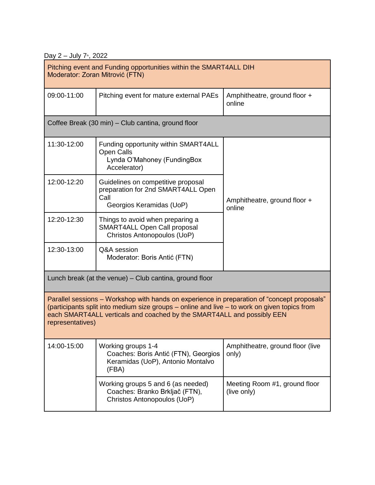Day  $2 -$  July  $7<sup>th</sup>$ , 2022

| Pitching event and Funding opportunities within the SMART4ALL DIH<br>Moderator: Zoran Mitrović (FTN)                                                                                                                                                                                      |                                                                                                              |                                              |
|-------------------------------------------------------------------------------------------------------------------------------------------------------------------------------------------------------------------------------------------------------------------------------------------|--------------------------------------------------------------------------------------------------------------|----------------------------------------------|
| 09:00-11:00                                                                                                                                                                                                                                                                               | Pitching event for mature external PAEs                                                                      | Amphitheatre, ground floor +<br>online       |
| Coffee Break (30 min) - Club cantina, ground floor                                                                                                                                                                                                                                        |                                                                                                              |                                              |
| 11:30-12:00                                                                                                                                                                                                                                                                               | Funding opportunity within SMART4ALL<br><b>Open Calls</b><br>Lynda O'Mahoney (FundingBox<br>Accelerator)     |                                              |
| 12:00-12:20                                                                                                                                                                                                                                                                               | Guidelines on competitive proposal<br>preparation for 2nd SMART4ALL Open<br>Call<br>Georgios Keramidas (UoP) | Amphitheatre, ground floor +<br>online       |
| 12:20-12:30                                                                                                                                                                                                                                                                               | Things to avoid when preparing a<br>SMART4ALL Open Call proposal<br>Christos Antonopoulos (UoP)              |                                              |
| 12:30-13:00                                                                                                                                                                                                                                                                               | Q&A session<br>Moderator: Boris Antić (FTN)                                                                  |                                              |
| Lunch break (at the venue) – Club cantina, ground floor                                                                                                                                                                                                                                   |                                                                                                              |                                              |
| Parallel sessions – Workshop with hands on experience in preparation of "concept proposals"<br>(participants split into medium size groups - online and live - to work on given topics from<br>each SMART4ALL verticals and coached by the SMART4ALL and possibly EEN<br>representatives) |                                                                                                              |                                              |
| 14:00-15:00                                                                                                                                                                                                                                                                               | Working groups 1-4<br>Coaches: Boris Antić (FTN), Georgios<br>Keramidas (UoP), Antonio Montalvo<br>(FBA)     | Amphitheatre, ground floor (live<br>only)    |
|                                                                                                                                                                                                                                                                                           | Working groups 5 and 6 (as needed)<br>Coaches: Branko Brkljač (FTN),<br>Christos Antonopoulos (UoP)          | Meeting Room #1, ground floor<br>(live only) |